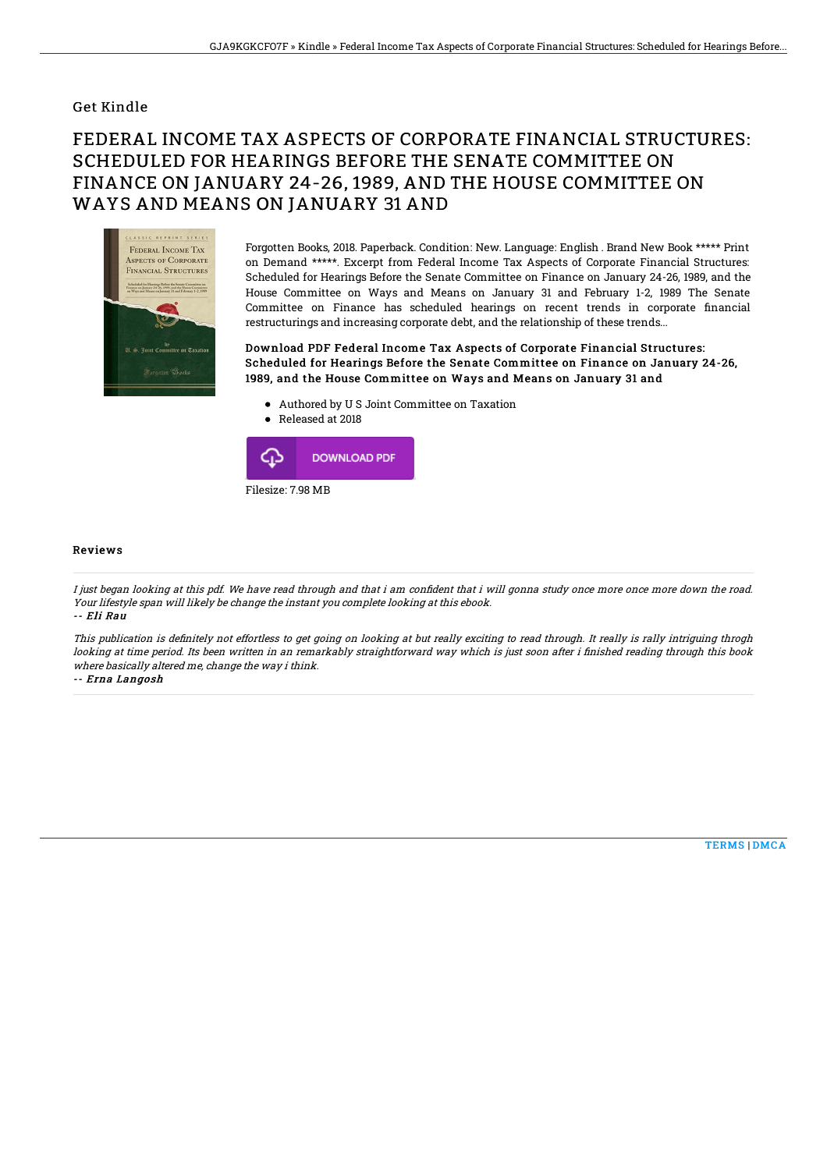## Get Kindle

## FEDERAL INCOME TAX ASPECTS OF CORPORATE FINANCIAL STRUCTURES: SCHEDULED FOR HEARINGS BEFORE THE SENATE COMMITTEE ON FINANCE ON JANUARY 24-26, 1989, AND THE HOUSE COMMITTEE ON WAYS AND MEANS ON JANUARY 31 AND



Forgotten Books, 2018. Paperback. Condition: New. Language: English . Brand New Book \*\*\*\*\* Print on Demand \*\*\*\*\*. Excerpt from Federal Income Tax Aspects of Corporate Financial Structures: Scheduled for Hearings Before the Senate Committee on Finance on January 24-26, 1989, and the House Committee on Ways and Means on January 31 and February 1-2, 1989 The Senate Committee on Finance has scheduled hearings on recent trends in corporate financial restructurings and increasing corporate debt, and the relationship of these trends...

Download PDF Federal Income Tax Aspects of Corporate Financial Structures: Scheduled for Hearings Before the Senate Committee on Finance on January 24-26, 1989, and the House Committee on Ways and Means on January 31 and

- Authored by U S Joint Committee on Taxation
- Released at 2018



## Reviews

I just began looking at this pdf. We have read through and that i am confident that i will gonna study once more once more down the road. Your lifestyle span will likely be change the instant you complete looking at this ebook. -- Eli Rau

This publication is definitely not effortless to get going on looking at but really exciting to read through. It really is rally intriguing throgh looking at time period. Its been written in an remarkably straightforward way which is just soon after i finished reading through this book where basically altered me, change the way i think.

-- Erna Langosh